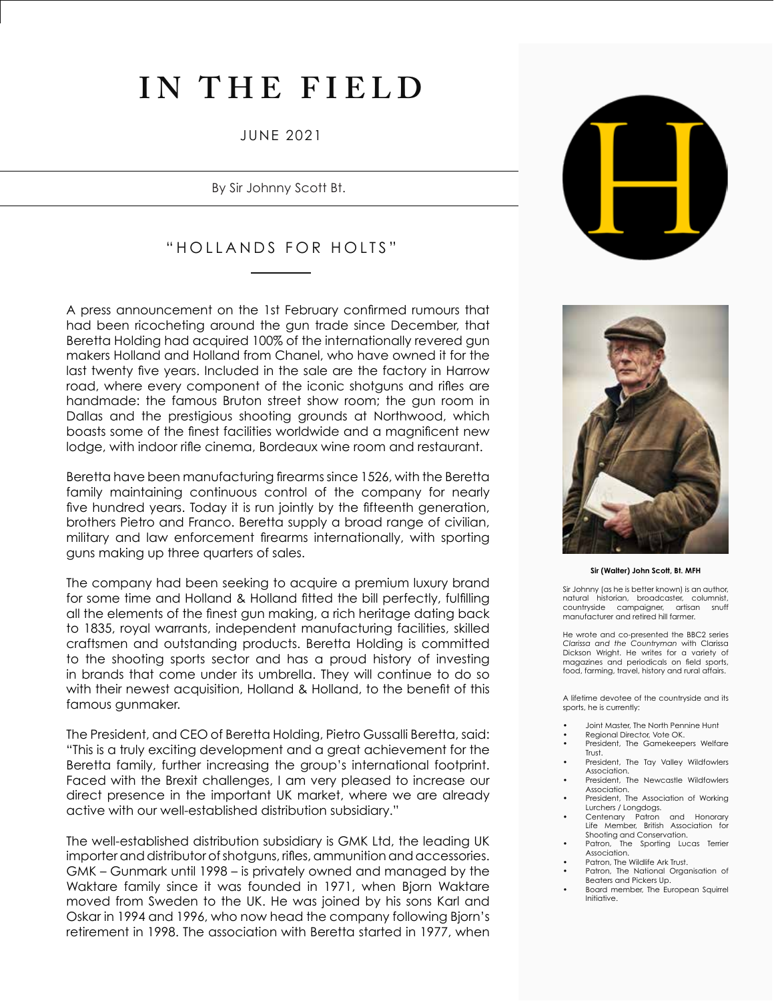# **IN THE FIELD**

## JUNE 2021

By Sir Johnny Scott Bt.

# "HOLLANDS FOR HOLTS"

A press announcement on the 1st February confirmed rumours that had been ricocheting around the gun trade since December, that Beretta Holding had acquired 100% of the internationally revered gun makers Holland and Holland from Chanel, who have owned it for the last twenty five years. Included in the sale are the factory in Harrow road, where every component of the iconic shotguns and rifles are handmade: the famous Bruton street show room; the gun room in Dallas and the prestigious shooting grounds at Northwood, which boasts some of the finest facilities worldwide and a magnificent new lodge, with indoor rifle cinema, Bordeaux wine room and restaurant.

Beretta have been manufacturing firearms since 1526, with the Beretta family maintaining continuous control of the company for nearly five hundred years. Today it is run jointly by the fifteenth generation, brothers Pietro and Franco. Beretta supply a broad range of civilian, military and law enforcement firearms internationally, with sporting guns making up three quarters of sales.

The company had been seeking to acquire a premium luxury brand for some time and Holland & Holland fitted the bill perfectly, fulfilling all the elements of the finest gun making, a rich heritage dating back to 1835, royal warrants, independent manufacturing facilities, skilled craftsmen and outstanding products. Beretta Holding is committed to the shooting sports sector and has a proud history of investing in brands that come under its umbrella. They will continue to do so with their newest acquisition, Holland & Holland, to the benefit of this famous gunmaker.

The President, and CEO of Beretta Holding, Pietro Gussalli Beretta, said: "This is a truly exciting development and a great achievement for the Beretta family, further increasing the group's international footprint. Faced with the Brexit challenges, I am very pleased to increase our direct presence in the important UK market, where we are already active with our well-established distribution subsidiary."

The well-established distribution subsidiary is GMK Ltd, the leading UK importer and distributor of shotguns, rifles, ammunition and accessories. GMK – Gunmark until 1998 – is privately owned and managed by the Waktare family since it was founded in 1971, when Bjorn Waktare moved from Sweden to the UK. He was joined by his sons Karl and Oskar in 1994 and 1996, who now head the company following Bjorn's retirement in 1998. The association with Beretta started in 1977, when





#### **Sir (Walter) John Scott, Bt. MFH**

Sir Johnny (as he is better known) is an author, natural historian, broadcaster, columnist,<br>countryside campaigner, artisan snuff countryside campaigner, manufacturer and retired hill farmer.

He wrote and co-presented the BBC2 series *Clarissa and the Countryman* with Clarissa Dickson Wright. He writes for a variety of magazines and periodicals on field sports, food, farming, travel, history and rural affairs.

A lifetime devotee of the countryside and its sports, he is currently:

- Joint Master, The North Pennine Hunt
- Regional Director, Vote OK. President, The Gamekeepers Welfare
- Trust. • President, The Tay Valley Wildfowlers
- Association.
- President, The Newcastle Wildfowlers Association. • President, The Association of Working
- Lurchers / Longdogs.
- Centenary Patron and Honorary Life Member, British Association for Shooting and Conservation.<br>Patron, The Sporting Luc
- The Sporting Lucas Terrier Association.
- Patron, The Wildlife Ark Trust. Patron, The National Organisation of
- Beaters and Pickers Up. • Board member, The European Squirrel
- Initiative.